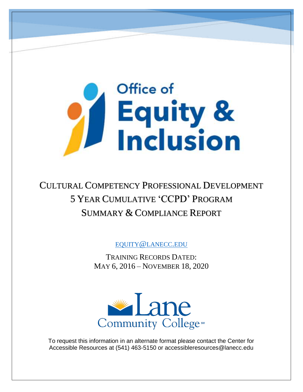# Office of Equity &<br>Inclusion

# CULTURAL COMPETENCY PROFESSIONAL DEVELOPMENT 5 YEAR CUMULATIVE 'CCPD' PROGRAM SUMMARY & COMPLIANCE REPORT

EQUITY@[LANECC](mailto:equity@lanecc.edu).EDU

TRAINING RECORDS DATED: MAY 6, 2016 – NOVEMBER 18, 2020



To request this information in an alternate format please contact the Center for Accessible Resources at (541) 463-5150 or accessibleresources@lanecc.edu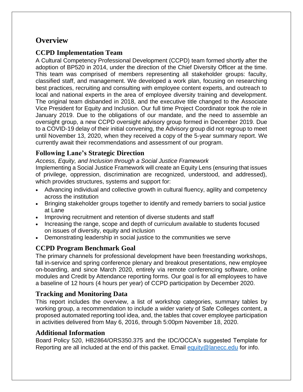## **Overview**

#### **CCPD Implementation Team**

A Cultural Competency Professional Development (CCPD) team formed shortly after the adoption of BP520 in 2014, under the direction of the Chief Diversity Officer at the time. This team was comprised of members representing all stakeholder groups: faculty, classified staff, and management. We developed a work plan, focusing on researching best practices, recruiting and consulting with employee content experts, and outreach to local and national experts in the area of employee diversity training and development. The original team disbanded in 2018, and the executive title changed to the Associate Vice President for Equity and Inclusion. Our full time Project Coordinator took the role in January 2019. Due to the obligations of our mandate, and the need to assemble an oversight group, a new CCPD oversight advisory group formed in December 2019. Due to a COVID-19 delay of their initial convening, the Advisory group did not regroup to meet until November 13, 2020, when they received a copy of the 5-year summary report. We currently await their recommendations and assessment of our program.

#### **Following Lane's Strategic Direction**

*Access, Equity, and Inclusion through a Social Justice Framework* 

Implementing a Social Justice Framework will create an Equity Lens (ensuring that issues of privilege, oppression, discrimination are recognized, understood, and addressed), which provides structures, systems and support for:

- Advancing individual and collective growth in cultural fluency, agility and competency across the institution
- Bringing stakeholder groups together to identify and remedy barriers to social justice at Lane
- Improving recruitment and retention of diverse students and staff
- Increasing the range, scope and depth of curriculum available to students focused on issues of diversity, equity and inclusion
- Demonstrating leadership in social justice to the communities we serve

#### **CCPD Program Benchmark Goal**

The primary channels for professional development have been freestanding workshops, fall in-service and spring conference plenary and breakout presentations, new employee on-boarding, and since March 2020, entirely via remote conferencing software, online modules and Credit by Attendance reporting forms. Our goal is for all employees to have a baseline of 12 hours (4 hours per year) of CCPD participation by December 2020.

#### **Tracking and Monitoring Data**

This report includes the overview, a list of workshop categories, summary tables by working group, a recommendation to include a wider variety of Safe Colleges content, a proposed automated reporting tool idea, and, the tables that cover employee participation in activities delivered from May 6, 2016, through 5:00pm November 18, 2020.

#### **Additional Information**

Board Policy 520, HB2864/ORS350.375 and the IDC/OCCA's suggested Template for Reporting are all included at the end of this packet. Email [equity@lanecc.edu](mailto:equity@lanecc.edu) for info.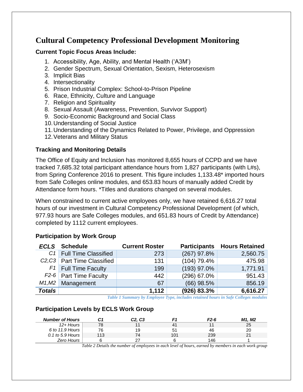## **Cultural Competency Professional Development Monitoring**

#### **Current Topic Focus Areas Include:**

- 1. Accessibility, Age, Ability, and Mental Health ('A3M')
- 2. Gender Spectrum, Sexual Orientation, Sexism, Heterosexism
- 3. Implicit Bias
- 4. Intersectionality
- 5. Prison Industrial Complex: School-to-Prison Pipeline
- 6. Race, Ethnicity, Culture and Language
- 7. Religion and Spirituality
- 8. Sexual Assault (Awareness, Prevention, Survivor Support)
- 9. Socio-Economic Background and Social Class
- 10.Understanding of Social Justice
- 11.Understanding of the Dynamics Related to Power, Privilege, and Oppression
- 12.Veterans and Military Status

#### **Tracking and Monitoring Details**

The Office of Equity and Inclusion has monitored 8,655 hours of CCPD and we have tracked 7,685.32 total participant attendance hours from 1,827 participants (with L#s), from Spring Conference 2016 to present. This figure includes 1,133.48\* imported hours from Safe Colleges online modules, and 653.83 hours of manually added Credit by Attendance form hours. \*Titles and durations changed on several modules.

When constrained to current active employees only, we have retained 6,616.27 total hours of our investment in Cultural Competency Professional Development (of which, 977.93 hours are Safe Colleges modules, and 651.83 hours of Credit by Attendance) completed by 1112 current employees.

#### **Participation by Work Group**

|               | <b>ECLS</b> Schedule                                | <b>Current Roster</b> |               | <b>Participants Hours Retained</b> |
|---------------|-----------------------------------------------------|-----------------------|---------------|------------------------------------|
|               | C <sub>1</sub> Full Time Classified                 | 273                   | $(267)$ 97.8% | 2,560.75                           |
|               | C <sub>2</sub> ,C <sub>3</sub> Part Time Classified | 131                   | $(104)$ 79.4% | 475.98                             |
|               | $F1$ Full Time Faculty                              | 199                   | (193) 97.0%   | 1,771.91                           |
|               | $F2-6$ Part Time Faculty                            | 442                   | (296) 67.0%   | 951.43                             |
|               | $M1,M2$ Management                                  | 67                    | $(66)$ 98.5%  | 856.19                             |
| <b>Totals</b> |                                                     | 1,112                 | (926) 83.3%   | 6,616.27                           |

*Table 1 Summary by Employee Type, includes retained hours in Safe Colleges modules*

#### **Participation Levels by ECLS Work Group**

| <b>Number of Hours</b> | C1  | C <sub>2</sub> , C <sub>3</sub> |                | F <sub>2</sub> -6 | M1. M2        |
|------------------------|-----|---------------------------------|----------------|-------------------|---------------|
| $12 +$ Hours           | 78  |                                 | 4 <sup>1</sup> |                   | 25            |
| 6 to 11.9 Hours        | 76  | 19                              | 5 <sup>1</sup> | 46                | 20            |
| $0.1$ to 5.9 Hours     | 113 | 74                              | 101            | 239               | $\mathcal{D}$ |
| Zero Hours             |     | 27                              |                | 146               |               |

*Table 2 Details the number of employees in each level of hours, earned by members in each work group*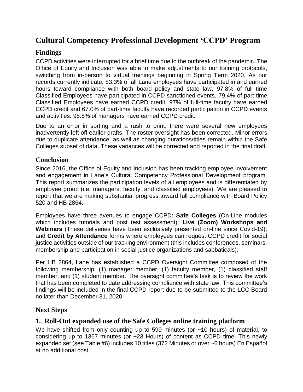## **Cultural Competency Professional Development 'CCPD' Program**

#### **Findings**

CCPD activities were interrupted for a brief time due to the outbreak of the pandemic. The Office of Equity and Inclusion was able to make adjustments to our training protocols, switching from in-person to virtual trainings beginning in Spring Term 2020. As our records currently indicate, 83.3% of all Lane employees have participated in and earned hours toward compliance with both board policy and state law. 97.8% of full time Classified Employees have participated in CCPD sanctioned events. 79.4% of part time Classified Employees have earned CCPD credit. 97% of full-time faculty have earned CCPD credit and 67.0% of part-time faculty have recorded participation in CCPD events and activities. 98.5% of managers have earned CCPD credit.

Due to an error in sorting and a rush to print, there were several new employees inadvertently left off earlier drafts. The roster oversight has been corrected. Minor errors due to duplicate attendance, as well as changing durations/titles remain within the Safe Colleges subset of data. These variances will be corrected and reported in the final draft.

#### **Conclusion**

Since 2016, the Office of Equity and Inclusion has been tracking employee involvement and engagement in Lane's Cultural Competency Professional Development program. This report summarizes the participation levels of all employees and is differentiated by employee group (i.e. managers, faculty, and classified employees). We are pleased to report that we are making substantial progress toward full compliance with Board Policy 520 and HB 2864.

Employees have three avenues to engage CCPD: **Safe Colleges** (On-Line modules which includes tutorials and post test assessment); **Live (Zoom) Workshops and Webinars** (These deliveries have been exclusively presented on-line since Covid-19); and **Credit by Attendance** forms where employees can request CCPD credit for social justice activities outside of our tracking environment (this includes conferences, seminars, membership and participation in social justice organizations and sabbaticals).

Per HB 2864, Lane has established a CCPD Oversight Committee composed of the following membership: (1) manager member, (1) faculty member, (1) classified staff member, and (1) student member. The oversight committee's task is to review the work that has been completed to date addressing compliance with state law. This committee's findings will be included in the final CCPD report due to be submitted to the LCC Board no later than December 31, 2020.

#### **Next Steps**

#### **1. Roll-Out expanded use of the Safe Colleges online training platform**

We have shifted from only counting up to 599 minutes (or ~10 hours) of material, to considering up to 1367 minutes (or ~23 Hours) of content as CCPD time. This newly expanded set (see Table #6) includes 10 titles (372 Minutes or over ~6 hours) En Español at no additional cost.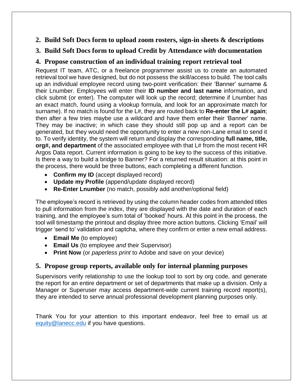#### **2. Build Soft Docs form to upload zoom rosters, sign-in sheets & descriptions**

#### **3. Build Soft Docs form to upload Credit by Attendance** *with* **documentation**

#### **4. Propose construction of an individual training report retrieval tool**

Request IT team, ATC, or a freelance programmer assist us to create an automated retrieval tool we have designed, but do not possess the skill/access to build. The tool calls up an individual employee record using two-point verification: their 'Banner' surname & their Lnumber. Employees will enter their **ID number and last name** information, and click submit (or enter). The computer will look up the record; determine if Lnumber has an exact match, found using a vlookup formula, and look for an approximate match for surname). If no match is found for the L#, they are routed back to **Re-enter the L# again**; then after a few tries maybe use a wildcard and have them enter their 'Banner' name. They may be inactive; in which case they should still pop up and a report can be generated, but they would need the opportunity to enter a new non-Lane email to send it to. To verify identity, the system will return and display the corresponding **full name, title, org#, and department** of the associated employee with that L# from the most recent HR Argos Data report. Current information is going to be key to the success of this initiative. Is there a way to build a bridge to Banner? For a returned result situation: at this point in the process, there would be three buttons, each completing a different function.

- **Confirm my ID** (accept displayed record)
- **Update my Profile** (append/update displayed record)
- **Re-Enter Lnumber** (no match, possibly add another/optional field)

The employee's record is retrieved by using the column header codes from attended titles to pull information from the index, they are displayed with the date and duration of each training, and the employee's sum total of 'booked' hours. At this point in the process, the tool will timestamp the printout and display three more action buttons. Clicking 'Email' will trigger 'send to' validation and captcha, where they confirm or enter a new email address.

- **Email Me** (to employee)
- **Email Us** (to employee *and* their Supervisor)
- **Print Now** (or *paperless print* to Adobe and save on your device)

#### **5. Propose group reports, available only for internal planning purposes**

Supervisors verify relationship to use the lookup tool to sort by org code, and generate the report for an entire department or set of departments that make up a division. Only a Manager or Superuser may access department-wide current training record report(s), they are intended to serve annual professional development planning purposes only.

Thank You for your attention to this important endeavor, feel free to email us at [equity@lanecc.edu](mailto:equity@lanecc.edu) if you have questions.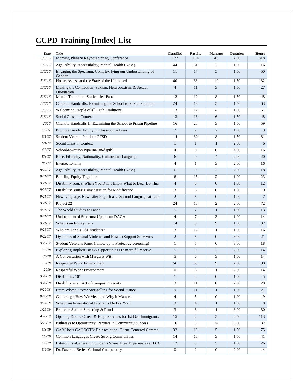# **CCPD Training [Index] List**

| Date<br>5/6/16 | <b>Title</b><br>Morning Plenary Keynote Spring Conference            | <b>Classified</b><br>177 | Faculty<br>184   | <b>Manager</b><br>48 | <b>Duration</b><br>2.00 | <b>Hours</b><br>818 |
|----------------|----------------------------------------------------------------------|--------------------------|------------------|----------------------|-------------------------|---------------------|
| 5/6/16         | Age, Ability, Accessibility, Mental Health (A3M)                     | 44                       | 31               | 2                    | 1.50                    | 116                 |
| 5/6/16         | Engaging the Spectrum, Complexifying our Understanding of<br>Gender  | 11                       | 17               | 5                    | 1.50                    | 50                  |
| 5/6/16         | Homelessness and the State of the Unhoused                           | 40                       | 38               | 10                   | 1.50                    | 132                 |
| 5/6/16         | Making the Connection: Sexism, Heterosexism, & Sexual<br>Orientation | $\overline{4}$           | 11               | 3                    | 1.50                    | 27                  |
| 5/6/16         | Men in Transition: Student-led Panel                                 | 12                       | 12               | 8                    | 1.50                    | 48                  |
| 5/6/16         | Chalk to Handcuffs: Examining the School to Prison Pipeline          | 24                       | 13               | 5                    | 1.50                    | 63                  |
| 5/6/16         | Welcoming People of all Faith Traditions                             | 13                       | 17               | 4                    | 1.50                    | 51                  |
| 5/6/16         | Social Class in Context                                              | 13                       | 13               | 6                    | 1.50                    | 48                  |
| 2016           | Chalk to Handcuffs II: Examining the School to Prison Pipeline       | 16                       | 20               | 3                    | 1.50                    | 59                  |
| 5/5/17         | Promote Gender Equity in Classrooms/Areas                            | $\overline{2}$           | $\overline{2}$   | $\mathbf{2}$         | 1.50                    | 9                   |
| 5/5/17         | Student Veteran Panel on PTSD                                        | 14                       | 32               | 8                    | 1.50                    | 81                  |
| 6/1/17         | Social Class in Context                                              | $\mathbf{1}$             | $\mathbf{1}$     | $\mathbf{1}$         | 2.00                    | 6                   |
| 6/2/17         | School-to-Prison Pipeline (in-depth)                                 | 4                        | $\overline{0}$   | $\mathbf{0}$         | 4.00                    | 16                  |
| 8/8/17         | Race, Ethnicity, Nationality, Culture and Language                   | 6                        | $\boldsymbol{0}$ | $\overline{4}$       | 2.00                    | 20                  |
| 8/9/17         | Intersectionality                                                    | 4                        | $\mathbf{1}$     | 3                    | 2.00                    | 16                  |
| 8/10/17        | Age, Ability, Accessibility, Mental Health (A3M)                     | 6                        | $\boldsymbol{0}$ | 3                    | 2.00                    | 18                  |
| 9/21/17        | <b>Building Equity Together</b>                                      | 6                        | 15               | 2                    | 1.00                    | 23                  |
| 9/21/17        | Disability Issues: When You Don't Know What to DoDo This             | $\overline{4}$           | 8                | $\mathbf{0}$         | 1.00                    | 12                  |
| 9/21/17        | Disability Issues: Consideration for Modification                    | 3                        | 6                | $\mathbf{0}$         | 1.00                    | 9                   |
| 9/21/17        | New Language, New Life: English as a Second Language at Lane         | $\overline{2}$           | 5                | $\mathbf{0}$         | 1.00                    | $\tau$              |
| 9/21/17        | Project 22                                                           | 24                       | 10               | 2                    | 2.00                    | 72                  |
| 9/21/17        | The World Studies at Lane!                                           | 5                        | 7                | $\mathbf{1}$         | 1.00                    | 13                  |
| 9/21/17        | Undocumented Students: Update on DACA                                | $\overline{4}$           | $\tau$           | 3                    | 1.00                    | 14                  |
| 9/21/17        | What is an Equity Lens                                               | 14                       | 9                | 9                    | 1.00                    | 32                  |
| 9/21/17        | Who are Lane's ESL students?                                         | 3                        | 12               | $\mathbf{1}$         | 1.00                    | 16                  |
| 9/22/17        | Dynamics of Sexual Violence and How to Support Survivors             | $\mathfrak{2}$           | 5                | $\mathbf{0}$         | 3.00                    | 21                  |
| 9/22/17        | Student Veterans Panel (follow up to Project 22 screening)           | $\mathbf{1}$             | 5                | $\overline{0}$       | 3.00                    | 18                  |
| 3/7/18         | Exploring Implicit Bias & Opportunities to more fully serve          | 5                        | $\boldsymbol{0}$ | 2                    | 2.00                    | 14                  |
| 4/5/18         | A Conversation with Margaret Witt                                    | 5                        | 6                | 3                    | 1.00                    | 14                  |
| 2018           | Respectful Work Environment                                          | 56                       | 30               | 9                    | 2.00                    | 190                 |
| 2019           | Respectful Work Environment                                          | $\overline{0}$           | 6                | 1                    | 2.00                    | 14                  |
| 9/20/18        | Disabilities 101                                                     | $\mathbf{1}$             | $\overline{4}$   | $\boldsymbol{0}$     | 1.00                    | $5\overline{)}$     |
| 9/20/18        | Disability as an Act of Campus Diversity                             | 3                        | 11               | 0                    | 2.00                    | 28                  |
| 9/20/18        | From Whose Story? Storytelling for Social Justice                    | 9                        | 11               | $\mathbf{1}$         | 1.00                    | 21                  |
| 9/20/18        | Gatherings: How We Meet and Why It Matters                           | 4                        | 5                | 0                    | 1.00                    | 9                   |
| 9/20/18        | What Can International Programs Do For You?                          | 3                        | $\overline{4}$   | $\mathbf{1}$         | 1.00                    | 8                   |
| 1/29/19        | Fruitvale Station Screening & Panel                                  | 3                        | 6                | $\mathbf{1}$         | 3.00                    | 30                  |
| 4/18/19        | Opening Doors: Career & Emp. Services for 1st Gen Immigrants         | 15                       | $\mathbf{2}$     | 5                    | 4.50                    | 113                 |
| 5/22/19        | Pathways to Opportunity: Partners in Community Success               | 16                       | 3                | 14                   | 5.50                    | 182                 |
| 5/3/19         | CAR Hosts CAHOOTS: De-escalation, Client-Centered Comms              | 32                       | 13               | 5                    | 1.50                    | 75                  |
| 5/3/19         | Common Languages Create Strong Communities                           | 14                       | 10               | 3                    | 1.50                    | 41                  |
| 5/3/19         | Latino First-Generation Students Share Their Experiences at LCC      | 12                       | 9                | 5                    | 1.00                    | 26                  |
| 5/9/19         | Dr. Daverne Belle - Cultural Competency                              | $\boldsymbol{0}$         | $\overline{c}$   | 0                    | 2.00                    | $\overline{4}$      |
|                |                                                                      |                          |                  |                      |                         |                     |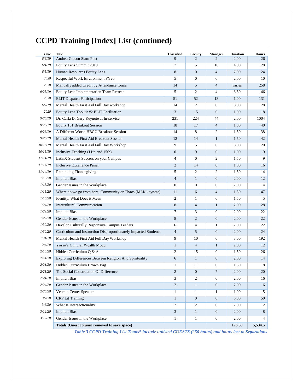| Date            | <b>Title</b>                                                    | <b>Classified</b> | <b>Faculty</b>   | <b>Manager</b>   | <b>Duration</b> | <b>Hours</b>   |
|-----------------|-----------------------------------------------------------------|-------------------|------------------|------------------|-----------------|----------------|
| 6/6/19          | Andrea Gibson Slam Poet                                         | 9                 | $\overline{c}$   | $\overline{c}$   | 2.00            | 26             |
| 6/4/19          | Equity Lens Summit 2019                                         | 7                 | 5                | 16               | 4.00            | 128            |
| 6/5/19          | Human Resources Equity Lens                                     | 8                 | $\overline{0}$   | $\overline{4}$   | 2.00            | 24             |
| 2020            | Respectful Work Environment FY20                                | 5                 | $\mathbf{0}$     | $\overline{0}$   | 2.00            | 10             |
| 2020            | Manually added Credit by Attendance forms                       | 14                | 5                | $\overline{4}$   | varies          | 258            |
| 9/25/19         | Equity Lens Implementation Team Retreat                         | 5                 | $\mathfrak{2}$   | 4                | 3.50            | 46             |
| 2020            | <b>ELIT</b> Dispatch Participation                              | 51                | 52               | 13               | 1.00            | 131            |
| 6/7/19          | Mental Health First Aid Full Day workshop                       | 14                | $\mathfrak{2}$   | $\boldsymbol{0}$ | 8.00            | 128            |
| 2020            | Equity Lens Toolkit #2 ELIT Facilitation                        | 3                 | 15               | $\overline{0}$   | 1.00            | 18             |
| 9/26/19         | Dr. Carla D. Gary Keynote at In-service                         | 231               | 224              | 44               | 2.00            | 1004           |
| 9/26/19         | Equity 101 Breakout Session                                     | 18                | 17               | $\overline{4}$   | 1.00            | 40             |
| 9/26/19         | A Different World HBCU Breakout Session                         | 14                | 8                | 2                | 1.50            | 38             |
| 9/26/19         | Mental Health First Aid Breakout Session                        | 12                | 14               | $\mathbf{1}$     | 1.50            | 42             |
| 10/18/19        | Mental Health First Aid Full Day Workshop                       | 9                 | 5                | $\boldsymbol{0}$ | 8.00            | 120            |
| 10/15/19        | Inclusive Teaching (11th and 15th)                              | $\boldsymbol{0}$  | 9                | $\overline{0}$   | 1.00            | 9              |
| <i>11/14/19</i> | LatinX Student Success on your Campus                           | 4                 | $\boldsymbol{0}$ | 2                | 1.50            | 9              |
| 11/14/19        | Inclusive Excellence Panel                                      | $\mathbf{2}$      | 14               | $\mathbf{0}$     | 1.00            | 16             |
| 11/14/19        | Rethinking Thanksgiving                                         | 5                 | $\overline{c}$   | 2                | 1.50            | 14             |
| 1/13/20         | <b>Implicit Bias</b>                                            | $\overline{4}$    | $\mathbf{1}$     | $\overline{0}$   | 2.00            | 12             |
| 1/13/20         | Gender Issues in the Workplace                                  | $\mathbf{0}$      | $\boldsymbol{0}$ | $\boldsymbol{0}$ | 2.00            | $\overline{4}$ |
| 1/15/20         | Where do we go from here, Community or Chaos (MLK keynote)      | 11                | 6                | $\overline{4}$   | 1.50            | 47             |
| 1/16/20         | Identity: What Does it Mean                                     | 2                 | $\mathbf{1}$     | $\boldsymbol{0}$ | 1.50            | 5              |
| 1/24/20         | <b>Intercultural Communication</b>                              | 8                 | $\overline{4}$   | $\mathbf{1}$     | 2.00            | 28             |
| 1/29/20         | <b>Implicit Bias</b>                                            | 7                 | 3                | $\boldsymbol{0}$ | 2.00            | 22             |
| 1/29/20         | Gender Issues in the Workplace                                  | 8                 | $\overline{c}$   | $\mathbf{0}$     | 2.00            | 22             |
| 1/30/20         | Develop Culturally Responsive Campus Leaders                    | 6                 | $\overline{4}$   | 1                | 2.00            | 22             |
| 1/30/20         | Curriculum and Instruction Disproportionately Impacted Students | $\overline{4}$    | 5                | $\overline{0}$   | 2.00            | 24             |
| 1/31/20         | Mental Health First Aid Full Day Workshop                       | 9                 | 10               | $\boldsymbol{0}$ | 8.00            | 192            |
| 2/4/20          | Yosso's Cultural Wealth Model                                   | $\mathbf{1}$      | $\overline{4}$   | $\mathbf{1}$     | 2.00            | 12             |
| 2/10/20         | Hidden Curriculum Q & A                                         | 2                 | 15               | 0                | 1.50            | 26             |
| 2/14/20         | Exploring Differences Between Religion And Spirituality         | 6                 | $\mathbf{1}$     | $\mathbf{0}$     | 2.00            | 14             |
| 2/21/20         | Hidden Curriculum Brown Bag                                     | 1                 | 11               | $\mathbf{0}$     | 1.50            | 18             |
| 2/21/20         | The Social Construction Of Difference                           | $\mathfrak{D}$    | $\boldsymbol{0}$ | $\tau$           | 2.00            | $20\,$         |
| 2/24/20         | <b>Implicit Bias</b>                                            | 3                 | 2                | $\overline{0}$   | 2.00            | 16             |
| 2/24/20         | Gender Issues in the Workplace                                  | $\mathbf{2}$      | $\mathbf{1}$     | $\boldsymbol{0}$ | 2.00            | 6              |
| 2/26/20         | Veteran Center Speaker                                          | $\mathbf{1}$      | $\mathbf{1}$     | $\mathbf{1}$     | 1.00            | 5              |
| 3/2/20          | <b>CRP</b> Lit Training                                         | $\mathbf{1}$      | $\boldsymbol{0}$ | $\boldsymbol{0}$ | 5.00            | 50             |
| 3/6/20          | What Is Intersectionality                                       | $\mathfrak{2}$    | $\overline{c}$   | $\boldsymbol{0}$ | 2.00            | 12             |
| 3/12/20         | <b>Implicit Bias</b>                                            | 3                 | $\mathbf{1}$     | $\mathbf{0}$     | 2.00            | 8              |
| 3/12/20         | Gender Issues in the Workplace                                  | 1                 | $\mathbf{1}$     | $\overline{0}$   | 2.00            | 4              |
|                 | Totals (Guest column removed to save space)                     |                   |                  |                  | 176.50          | 5,534.5        |

# **CCPD Training [Index] List (continued)**

*Table 3 CCPD Training List Totals\* include unlisted GUESTS (250 hours) and hours lost to Separations*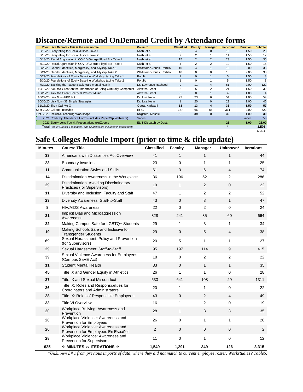# **Distance/Remote and OnDemand Credit by Attendance forms**

|  | Zoom Live Remote - This is the new normal                                 | Column1                   | <b>Classified</b> | <b>Faculty</b> | <b>Manager</b> | <b>Headcount</b> | <b>Duration</b> | <b>Subtotal</b> |
|--|---------------------------------------------------------------------------|---------------------------|-------------------|----------------|----------------|------------------|-----------------|-----------------|
|  | 6/16/20 Storytelling for Social Justice Take 1                            | Nash, et al               | 8                 | 4              | 0              | 15               | 1.50            | 23              |
|  | 6/18/20 Storytelling for Social Justice Take 2                            | Nash, et al               |                   | $\overline{2}$ |                | 11               | 1.50            | 17              |
|  | 6/18/20 Racial Aggression in COVID/George Floyd Era Take 1                | Nash, et al               | 15                | 2              | $\overline{2}$ | 23               | 1.50            | 35              |
|  | 6/19/20 Racial Aggression in COVID/George Floyd Era Take 2                | Nash, et al               | 4                 | $\overline{2}$ | $\overline{2}$ | 10               | 1.50            | 15              |
|  | 6/23/20 Gender Identities, Marginality, and Allyship Take 1               | Whitmarsh-Jones, Portillo | 10                | 4              | 1              | 18               | 2.00            | 36              |
|  | 6/24/20 Gender Identities, Marginality, and Allyship Take 2               | Whitmarsh-Jones, Portillo | 10                | $\Omega$       | $\Omega$       | 15               | 2.00            | 30              |
|  | 6/29/20 Foundations of Equity Baseline Workshop taping Take 1             | Portillo                  |                   | $\Omega$       | $\mathbf{1}$   | 5                | 1.50            | 8               |
|  | 6/30/20 Foundations of Equity Baseline Workshop taping Take 2             | Portillo                  |                   | 0              | 1              | 5                | 1.50            | 8               |
|  | 7/30/20 Tackling the Taboo Black Male Mental Health                       | Dr. Lawrence Rasheed      | 9                 | 11             | 4              | 61               | 2.00            | 122             |
|  | 10/13/20 Alex tha Great on the Importance of Being Culturally Competent   | Alex tha Great            | 6                 | 5              | 2              | 21               | 1.50            | 32              |
|  | 10/28/20 Alex tha Great Poetry & Protest Music                            | Alex tha Great            | 3                 | $\Omega$       | 1              | 4                | 1.00            |                 |
|  | 10/29/20 Lisa Nunn FPD talk                                               | Dr. Lisa Nunn             | 22                | 23             | 6              | 54               | 1.00            | 54              |
|  | 10/30/20 Lisa Nunn 33 Simple Strategies                                   | Dr. Lisa Nunn             |                   | 20             | $\Omega$       | 23               | 2.00            | 46              |
|  | 11/13/20 They Call Me Q                                                   | Qurrat Kadwani            | 13                | 13             | 4              | 38               | 1.50            | 57              |
|  | Sept 2020 College Inservice                                               | Et al.                    | 187               | 66             | 55             | 311              | 2.00            | 622             |
|  | Oct. 2020 Inclusive Teaching Workshops                                    | Knighten, Masaki          | $\Omega$          | 39             | $\mathbf{0}$   | 39               | 1.00            | 39              |
|  | 2021 Credit by Attendance Forms (includes PaperClip Webinars)             | Varies                    |                   |                |                |                  | varies          | 356             |
|  | 2021 Equity Lens Toolkit Presentations (re)Zooms                          | ELIT Dispatch by Dept.    |                   |                |                | 23               | 1.00            | 23.00           |
|  | Total (*note: Guests, Presenters, and Students are included in headcount) |                           |                   |                |                | $\star$          |                 | 1,501           |
|  |                                                                           |                           |                   |                |                |                  |                 | Table 4         |

# **Safe Colleges Module Import (prior to time & title update)**

| <b>Minutes</b> | <b>Course Title</b>                                                                | <b>Classified</b> | <b>Faculty</b> | <b>Manager</b> | Unknown*       | <b>Iterations</b> |
|----------------|------------------------------------------------------------------------------------|-------------------|----------------|----------------|----------------|-------------------|
| 33             | Americans with Disabilities Act Overview                                           | 41                | $\mathbf{1}$   | $\mathbf{1}$   | 1              | 44                |
| 23             | Boundary Invasion                                                                  | 23                | $\mathbf 0$    | 1              | 1              | 25                |
| 11             | <b>Communication Styles and Skills</b>                                             | 61                | 3              | 6              | 4              | 74                |
| 14             | Discrimination Awareness in the Workplace                                          | 36                | 196            | 52             | $\overline{2}$ | 286               |
| 29             | Discrimination: Avoiding Discriminatory<br>Practices (for Supervisors)             | 19                | $\mathbf{1}$   | 2              | $\mathbf 0$    | 22                |
| 11             | Diversity and Inclusion: Faculty and Staff                                         | 47                | $\mathbf{1}$   | $\overline{2}$ | 2              | 52                |
| 23             | Diversity Awareness: Staff-to-Staff                                                | 43                | $\mathbf 0$    | 3              | $\mathbf{1}$   | 47                |
| 8              | <b>HIV/AIDS Awareness</b>                                                          | 22                | $\mathbf 0$    | 2              | $\Omega$       | 24                |
| 21             | Implicit Bias and Microaggression<br>Awareness                                     | 328               | 241            | 35             | 60             | 664               |
| 22             | Making Campus Safe for LGBTQ+ Students                                             | 29                | $\mathbf{1}$   | 3              | $\mathbf{1}$   | 34                |
| 19             | Making Schools Safe and Inclusive for<br><b>Transgender Students</b>               | 29                | $\mathbf 0$    | 5              | 4              | 38                |
| 69             | Sexual Harassment: Policy and Prevention<br>(for Supervisors)                      | 20                | 5              | $\mathbf{1}$   | 1              | 27                |
| 29             | Sexual Harassment: Staff-to-Staff                                                  | 95                | 197            | 114            | 9              | 415               |
| 39             | Sexual Violence Awareness for Employees<br>(Campus SaVE Act)                       | 18                | $\mathbf 0$    | 2              | $\overline{2}$ | 22                |
| 11             | <b>Student Mental Health</b>                                                       | 33                | $\mathbf 0$    | $\mathbf{1}$   | $\mathbf{1}$   | 35                |
| 45             | Title IX and Gender Equity in Athletics                                            | 26                | $\mathbf{1}$   | $\mathbf{1}$   | $\Omega$       | 28                |
| 27             | <b>Title IX and Sexual Misconduct</b>                                              | 533               | 641            | 108            | 29             | 1311              |
| 36             | Title IX: Roles and Responsibilities for<br><b>Coordinators and Administrators</b> | 20                | 1              | 1              | 0              | 22                |
| 28             | Title IX: Roles of Responsible Employees                                           | 43                | $\mathbf 0$    | 2              | 4              | 49                |
| 33             | <b>Title VI Overview</b>                                                           | 16                | 1              | $\overline{2}$ | $\pmb{0}$      | 19                |
| 20             | Workplace Bullying: Awareness and<br>Prevention                                    | 28                | $\mathbf{1}$   | 3              | 3              | 35                |
| 20             | Workplace Violence: Awareness and<br><b>Prevention for Employees</b>               | 26                | $\mathbf 0$    | $\mathbf{1}$   | 1              | 28                |
| 26             | Workplace Violence: Awareness and<br>Prevention for Employees En Español           | $\overline{2}$    | $\mathbf{0}$   | $\mathbf{0}$   | $\mathbf{0}$   | 2                 |
| 28             | Workplace Violence: Awareness and<br>Prevention for Supervisors                    | 11                | 0              | 1              | $\pmb{0}$      | 12                |
| 625            | $\Leftrightarrow$ MINUTES $\Leftrightarrow$ ITERATIONS $\Leftrightarrow$           | 1,549             | 1,291          | 349            | 126            | 3,315             |

*\*Unknown L#'s from previous imports of data, where they did not match to current employee roster. Workstudies? Table5.*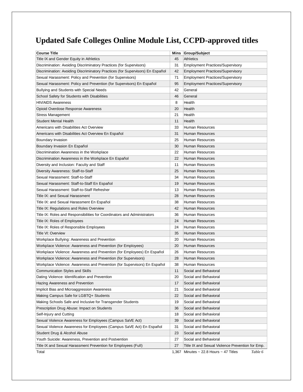# **Updated Safe Colleges Online Module List, CCPD-approved titles**

| <b>Course Title</b>                                                            |       | Mins Group/Subject                                    |
|--------------------------------------------------------------------------------|-------|-------------------------------------------------------|
| Title IX and Gender Equity in Athletics                                        | 45    | <b>Athletics</b>                                      |
| Discrimination: Avoiding Discriminatory Practices (for Supervisors)            | 31    | <b>Employment Practices/Supervisory</b>               |
| Discrimination: Avoiding Discriminatory Practices (for Supervisors) En Español | 42    | <b>Employment Practices/Supervisory</b>               |
| Sexual Harassment: Policy and Prevention (for Supervisors)                     | 71    | <b>Employment Practices/Supervisory</b>               |
| Sexual Harassment: Policy and Prevention (for Supervisors) En Español          | 95    | <b>Employment Practices/Supervisory</b>               |
| Bullying and Students with Special Needs                                       | 42    | General                                               |
| School Safety for Students with Disabilities                                   | 46    | General                                               |
| <b>HIV/AIDS Awareness</b>                                                      | 8     | Health                                                |
| Opioid Overdose Response Awareness                                             | 20    | Health                                                |
| Stress Management                                                              | 21    | Health                                                |
| <b>Student Mental Health</b>                                                   | 11    | Health                                                |
| Americans with Disabilities Act Overview                                       | 33    | Human Resources                                       |
| Americans with Disabilities Act Overview En Español                            | 31    | Human Resources                                       |
| Boundary Invasion                                                              | 25    | Human Resources                                       |
| Boundary Invasion En Español                                                   | 30    | Human Resources                                       |
| Discrimination Awareness in the Workplace                                      | 22    | Human Resources                                       |
| Discrimination Awareness in the Workplace En Español                           | 22    | Human Resources                                       |
| Diversity and Inclusion: Faculty and Staff                                     | 11    | Human Resources                                       |
| Diversity Awareness: Staff-to-Staff                                            | 25    | <b>Human Resources</b>                                |
| Sexual Harassment: Staff-to-Staff                                              | 34    | Human Resources                                       |
| Sexual Harassment: Staff-to-Staff En Español                                   | 19    | <b>Human Resources</b>                                |
| Sexual Harassment: Staff-to-Staff Refresher                                    | 13    | Human Resources                                       |
| Title IX: and Sexual Harassment                                                | 28    | <b>Human Resources</b>                                |
| Title IX: and Sexual Harassment En Español                                     | 38    | Human Resources                                       |
| Title IX: Regulations and Roles Overview                                       | 42    | <b>Human Resources</b>                                |
| Title IX: Roles and Responsibilities for Coordinators and Administrators       | 36    | Human Resources                                       |
| Title IX: Roles of Employees                                                   | 24    | <b>Human Resources</b>                                |
| Title IX: Roles of Responsible Employees                                       | 24    | Human Resources                                       |
| Title VI: Overview                                                             | 35    | <b>Human Resources</b>                                |
| Workplace Bullying: Awareness and Prevention                                   | 20    | Human Resources                                       |
| Workplace Violence: Awareness and Prevention (for Employees)                   | 20    | <b>Human Resources</b>                                |
| Workplace Violence: Awareness and Prevention (for Employees) En Español        | 26    | Human Resources                                       |
| Workplace Violence: Awareness and Prevention (for Supervisors)                 | 28    | <b>Human Resources</b>                                |
| Workplace Violence: Awareness and Prevention (for Supervisors) En Español      | 38    | Human Resources                                       |
| Communication Styles and Skills                                                | 11    | Social and Behavioral                                 |
| Dating Violence: Identification and Prevention                                 | 20    | Social and Behavioral                                 |
| Hazing Awareness and Prevention                                                | 17    | Social and Behavioral                                 |
| Implicit Bias and Microaggression Awareness                                    | 21    | Social and Behavioral                                 |
| Making Campus Safe for LGBTQ+ Students                                         | 22    | Social and Behavioral                                 |
| Making Schools Safe and Inclusive for Transgender Students                     | 19    | Social and Behavioral                                 |
| Prescription Drug Abuse: Impact on Students                                    | 36    | Social and Behavioral                                 |
| Self-Injury and Cutting                                                        | 18    | Social and Behavioral                                 |
| Sexual Violence Awareness for Employees (Campus SaVE Act)                      | 39    | Social and Behavioral                                 |
| Sexual Violence Awareness for Employees (Campus SaVE Act) En Español           | 31    | Social and Behavioral                                 |
| Student Drug & Alcohol Abuse                                                   | 23    | Social and Behavioral                                 |
| Youth Suicide: Awareness, Prevention and Postvention                           | 27    | Social and Behavioral                                 |
| Title IX and Sexual Harassment Prevention for Employees (Full)                 | 27    | Title IX and Sexual Violence Prevention for Emp.      |
| Total                                                                          | 1,367 | Minutes $\sim$ 22.8 Hours $\sim$ 47 Titles<br>Table 6 |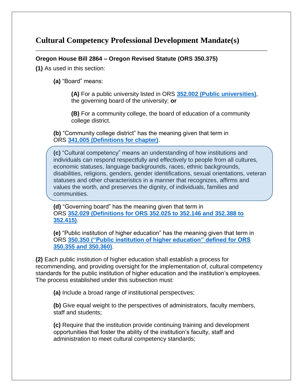### **Cultural Competency Professional Development Mandate(s)**

#### **Oregon House Bill 2864 – Oregon Revised Statute (ORS 350.375)**

**(1)** As used in this section:

**(a)** "Board" means:

**(A)** For a public university listed in ORS **352.002 [\(Public universities\)](https://www.oregonlaws.org/ors/352.002)**, the governing board of the university; **or**

**(B)** For a community college, the board of education of a community college district.

**(b)** "Community college district" has the meaning given that term in ORS **341.005 [\(Definitions for chapter\)](https://www.oregonlaws.org/ors/341.005)**.

**(c)** "Cultural competency" means an understanding of how institutions and individuals can respond respectfully and effectively to people from all cultures, economic statuses, language backgrounds, races, ethnic backgrounds, disabilities, religions, genders, gender identifications, sexual orientations, veteran statuses and other characteristics in a manner that recognizes, affirms and values the worth, and preserves the dignity, of individuals, families and communities.

**(d)** "Governing board" has the meaning given that term in ORS **352.029 [\(Definitions for ORS 352.025 to 352.146 and 352.388 to](https://www.oregonlaws.org/ors/352.029)  [352.415\)](https://www.oregonlaws.org/ors/352.029)**.

**(e)** "Public institution of higher education" has the meaning given that term in ORS **350.350 [\("Public institution of higher education" defined for ORS](https://www.oregonlaws.org/ors/350.350)  [350.355 and 350.360\)](https://www.oregonlaws.org/ors/350.350)**.

**(2)** Each public institution of higher education shall establish a process for recommending, and providing oversight for the implementation of, cultural competency standards for the public institution of higher education and the institution's employees. The process established under this subsection must:

**(a)** Include a broad range of institutional perspectives;

**(b)** Give equal weight to the perspectives of administrators, faculty members, staff and students;

**(c)** Require that the institution provide continuing training and development opportunities that foster the ability of the institution's faculty, staff and administration to meet cultural competency standards;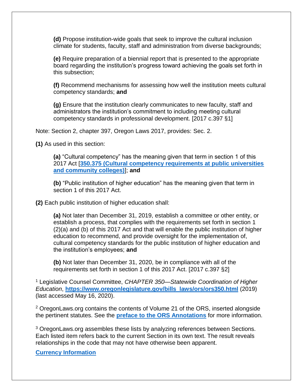**(d)** Propose institution-wide goals that seek to improve the cultural inclusion climate for students, faculty, staff and administration from diverse backgrounds;

**(e)** Require preparation of a biennial report that is presented to the appropriate board regarding the institution's progress toward achieving the goals set forth in this subsection;

**(f)** Recommend mechanisms for assessing how well the institution meets cultural competency standards; **and**

**(g)** Ensure that the institution clearly communicates to new faculty, staff and administrators the institution's commitment to including meeting cultural competency standards in professional development. [2017 c.397 §1]

Note: Section 2, chapter 397, Oregon Laws 2017, provides: Sec. 2.

**(1)** As used in this section:

**(a)** "Cultural competency" has the meaning given that term in section 1 of this 2017 Act [**350.375 [\(Cultural competency requirements at public universities](https://www.oregonlaws.org/ors/350.375)  [and community colleges\)](https://www.oregonlaws.org/ors/350.375)**]; **and**

**(b)** "Public institution of higher education" has the meaning given that term in section 1 of this 2017 Act.

**(2)** Each public institution of higher education shall:

**(a)** Not later than December 31, 2019, establish a committee or other entity, or establish a process, that complies with the requirements set forth in section 1 (2)(a) and (b) of this 2017 Act and that will enable the public institution of higher education to recommend, and provide oversight for the implementation of, cultural competency standards for the public institution of higher education and the institution's employees; **and**

**(b)** Not later than December 31, 2020, be in compliance with all of the requirements set forth in section 1 of this 2017 Act. [2017 c.397 §2]

<sup>1</sup> Legislative Counsel Committee, *CHAPTER 350—Statewide Coordination of Higher Education*, **[https://www.oregonlegislature.gov/bills\\_laws/ors/ors350.html](https://www.oregonlegislature.gov/bills_laws/ors/ors350.html)** (2019) (last accessed May 16, 2020).

<sup>2</sup> OregonLaws.org contains the contents of Volume 21 of the ORS, inserted alongside the pertinent statutes. See the **[preface to the ORS Annotations](https://www.oregonlegislature.gov/bills_laws/Pages/Annos_Pref.aspx)** for more information.

<sup>3</sup> OregonLaws.org assembles these lists by analyzing references between Sections. Each listed item refers back to the current Section in its own text. The result reveals relationships in the code that may not have otherwise been apparent.

**[Currency Information](https://www.oregonlaws.org/ors/2020/about)**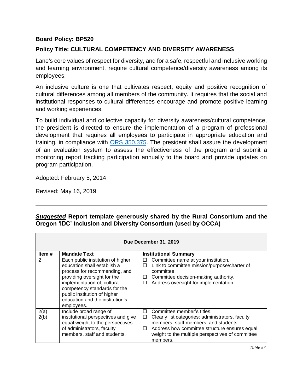#### **Board Policy: BP520**

#### **Policy Title: CULTURAL COMPETENCY AND DIVERSITY AWARENESS**

Lane's core values of respect for diversity, and for a safe, respectful and inclusive working and learning environment, require cultural competence/diversity awareness among its employees.

An inclusive culture is one that cultivates respect, equity and positive recognition of cultural differences among all members of the community. It requires that the social and institutional responses to cultural differences encourage and promote positive learning and working experiences.

To build individual and collective capacity for diversity awareness/cultural competence, the president is directed to ensure the implementation of a program of professional development that requires all employees to participate in appropriate education and training, in compliance with [ORS 350.375.](https://www.oregonlaws.org/ors/350.375) The president shall assure the development of an evaluation system to assess the effectiveness of the program and submit a monitoring report tracking participation annually to the board and provide updates on program participation.

Adopted: February 5, 2014

Revised: May 16, 2019

#### *Suggested* **Report template generously shared by the Rural Consortium and the Oregon 'IDC' Inclusion and Diversity Consortium (used by OCCA)**

|              | Due December 31, 2019                                                                                                                                                                                                                                                            |                                                                                                                                                                                                                                                              |  |  |  |  |  |
|--------------|----------------------------------------------------------------------------------------------------------------------------------------------------------------------------------------------------------------------------------------------------------------------------------|--------------------------------------------------------------------------------------------------------------------------------------------------------------------------------------------------------------------------------------------------------------|--|--|--|--|--|
| Item $#$     | <b>Mandate Text</b>                                                                                                                                                                                                                                                              | <b>Institutional Summary</b>                                                                                                                                                                                                                                 |  |  |  |  |  |
| 2            | Each public institution of higher<br>education shall establish a<br>process for recommending, and<br>providing oversight for the<br>implementation of, cultural<br>competency standards for the<br>public institution of higher<br>education and the institution's<br>employees. | Committee name at your institution.<br>ப<br>Link to committee mission/purpose/charter of<br>□<br>committee.<br>Committee decision-making authority.<br>⊔<br>Address oversight for implementation.<br>□                                                       |  |  |  |  |  |
| 2(a)<br>2(b) | Include broad range of<br>institutional perspectives and give<br>equal weight to the perspectives<br>of administrators, faculty<br>members, staff and students.                                                                                                                  | Committee member's titles.<br>П<br>Clearly list categories: administrators, faculty<br>ப<br>members, staff members, and students.<br>Address how committee structure ensures equal<br>$\Box$<br>weight to the multiple perspectives of committee<br>members. |  |  |  |  |  |

*Table #7*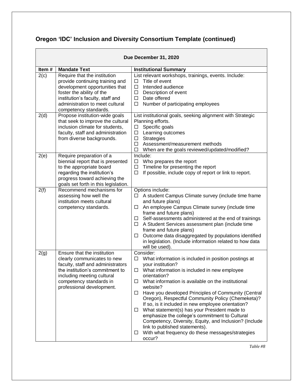# **Oregon 'IDC' Inclusion and Diversity Consortium Template (continued)**

|       | Due December 31, 2020                                                                                                                                                                                                          |                                                                                                                                                                                                                                                                                                                                                                                                                                                                                                                                                                                                                                                                                                       |  |  |  |  |
|-------|--------------------------------------------------------------------------------------------------------------------------------------------------------------------------------------------------------------------------------|-------------------------------------------------------------------------------------------------------------------------------------------------------------------------------------------------------------------------------------------------------------------------------------------------------------------------------------------------------------------------------------------------------------------------------------------------------------------------------------------------------------------------------------------------------------------------------------------------------------------------------------------------------------------------------------------------------|--|--|--|--|
| Item# | <b>Mandate Text</b>                                                                                                                                                                                                            | <b>Institutional Summary</b>                                                                                                                                                                                                                                                                                                                                                                                                                                                                                                                                                                                                                                                                          |  |  |  |  |
| 2(c)  | Require that the institution<br>provide continuing training and<br>development opportunities that<br>foster the ability of the<br>institution's faculty, staff and<br>administration to meet cultural<br>competency standards. | List relevant workshops, trainings, events. Include:<br>Title of event<br>□<br>Intended audience<br>□<br>Description of event<br>□<br>Date offered<br>$\Box$<br>$\Box$<br>Number of participating employees                                                                                                                                                                                                                                                                                                                                                                                                                                                                                           |  |  |  |  |
| 2(d)  | Propose institution-wide goals<br>that seek to improve the cultural<br>inclusion climate for students,<br>faculty, staff and administration<br>from diverse backgrounds.                                                       | List institutional goals, seeking alignment with Strategic<br>Planning efforts.<br>Specific goals<br>$\Box$<br>Learning outcomes<br>$\Box$<br>Strategies<br>$\Box$<br>$\Box$<br>Assessment/measurement methods<br>When are the goals reviewed/updated/modified?<br>□                                                                                                                                                                                                                                                                                                                                                                                                                                  |  |  |  |  |
| 2(e)  | Require preparation of a<br>biennial report that is presented<br>to the appropriate board<br>regarding the institution's<br>progress toward achieving the<br>goals set forth in this legislation.                              | Include:<br>Who prepares the report<br>□<br>Timeline for presenting the report<br>Ц<br>If possible, include copy of report or link to report.<br>□                                                                                                                                                                                                                                                                                                                                                                                                                                                                                                                                                    |  |  |  |  |
| 2(f)  | Recommend mechanisms for<br>assessing how well the<br>institution meets cultural<br>competency standards.                                                                                                                      | Options include:<br>A student Campus Climate survey (include time frame<br>□<br>and future plans)<br>An employee Campus Climate survey (include time<br>□<br>frame and future plans)<br>Self-assessments administered at the end of trainings<br>□<br>A Student Services assessment plan (include time<br>□<br>frame and future plans)<br>Outcome data disaggregated by populations identified<br>□<br>in legislation. (Include information related to how data<br>will be used).                                                                                                                                                                                                                     |  |  |  |  |
| 2(g)  | Ensure that the institution<br>clearly communicates to new<br>faculty, staff and administrators<br>the institution's commitment to<br>including meeting cultural<br>competency standards in<br>professional development.       | Consider:<br>What information is included in position postings at<br>$\Box$<br>your institution?<br>$\Box$ What information is included in new employee<br>orientation?<br>What information is available on the institutional<br>□<br>website?<br>Have you developed Principles of Community (Central<br>$\Box$<br>Oregon), Respectful Community Policy (Chemeketa)?<br>If so, is it included in new employee orientation?<br>What statement(s) has your President made to<br>□<br>emphasize the college's commitment to Cultural<br>Competency, Diversity, Equity, and Inclusion? (Include<br>link to published statements).<br>With what frequency do these messages/strategies<br>$\Box$<br>occur? |  |  |  |  |

*Table #8*